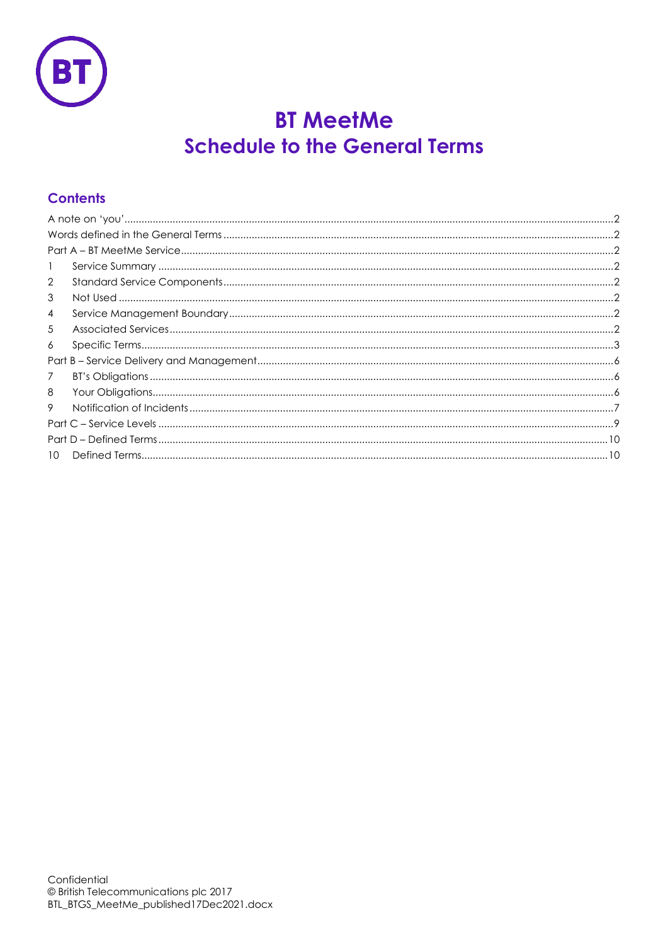

# **BT MeetMe Schedule to the General Terms**

## **Contents**

| $\mathbf{1}$    |  |  |
|-----------------|--|--|
| $\overline{2}$  |  |  |
| 3               |  |  |
| 4               |  |  |
| 5               |  |  |
| 6               |  |  |
|                 |  |  |
| 7               |  |  |
| 8               |  |  |
| 9               |  |  |
|                 |  |  |
|                 |  |  |
| 10 <sup>2</sup> |  |  |
|                 |  |  |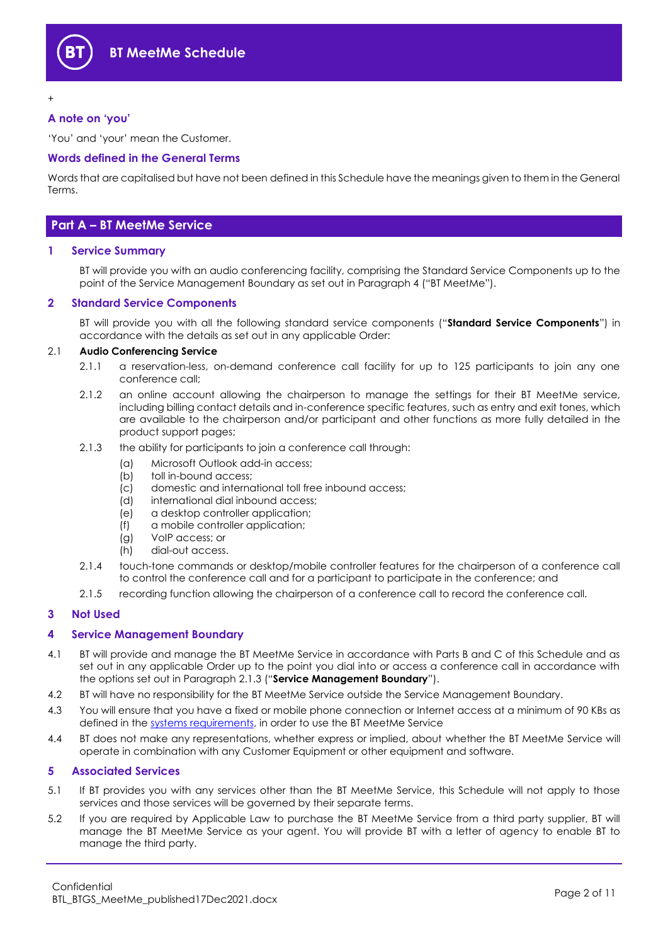

+

#### <span id="page-1-0"></span>**A note on 'you'**

'You' and 'your' mean the Customer.

#### <span id="page-1-1"></span>**Words defined in the General Terms**

Words that are capitalised but have not been defined in this Schedule have the meanings given to them in the General Terms.

## <span id="page-1-2"></span>**Part A – BT MeetMe Service**

#### <span id="page-1-3"></span>**1 Service Summary**

BT will provide you with an audio conferencing facility, comprising the Standard Service Components up to the point of the Service Management Boundary as set out in Paragraph 4 ("BT MeetMe").

#### <span id="page-1-4"></span>**2 Standard Service Components**

BT will provide you with all the following standard service components ("**Standard Service Components**") in accordance with the details as set out in any applicable Order:

#### 2.1 **Audio Conferencing Service**

- 2.1.1 a reservation-less, on-demand conference call facility for up to 125 participants to join any one conference call;
- 2.1.2 an online account allowing the chairperson to manage the settings for their BT MeetMe service, including billing contact details and in-conference specific features, such as entry and exit tones, which are available to the chairperson and/or participant and other functions as more fully detailed in the product support pages;
- <span id="page-1-9"></span><span id="page-1-8"></span>2.1.3 the ability for participants to join a conference call through:
	- (a) Microsoft Outlook add-in access;
	- (b) toll in-bound access;
	- (c) domestic and international toll free inbound access;
	- (d) international dial inbound access;
	- (e) a desktop controller application;
	- (f) a mobile controller application;
	- (g) VoIP access; or
	- (h) dial-out access.
- <span id="page-1-10"></span>2.1.4 touch-tone commands or desktop/mobile controller features for the chairperson of a conference call to control the conference call and for a participant to participate in the conference; and
- 2.1.5 recording function allowing the chairperson of a conference call to record the conference call.

#### <span id="page-1-5"></span>**3 Not Used**

#### <span id="page-1-6"></span>**4 Service Management Boundary**

- <span id="page-1-11"></span>4.1 BT will provide and manage the BT MeetMe Service in accordance with Parts B and C of this Schedule and as set out in any applicable Order up to the point you dial into or access a conference call in accordance with the options set out in Paragraph [2.1.3](#page-1-8) ("**Service Management Boundary**").
- 4.2 BT will have no responsibility for the BT MeetMe Service outside the Service Management Boundary.
- 4.3 You will ensure that you have a fixed or mobile phone connection or Internet access at a minimum of 90 KBs as defined in the [systems requirements,](https://www.btconferencing.com/products-and-services/bt-meetme/voip-system-requirements/) in order to use the BT MeetMe Service
- 4.4 BT does not make any representations, whether express or implied, about whether the BT MeetMe Service will operate in combination with any Customer Equipment or other equipment and software.

#### <span id="page-1-7"></span>**5 Associated Services**

- 5.1 If BT provides you with any services other than the BT MeetMe Service, this Schedule will not apply to those services and those services will be governed by their separate terms.
- 5.2 If you are required by Applicable Law to purchase the BT MeetMe Service from a third party supplier, BT will manage the BT MeetMe Service as your agent. You will provide BT with a letter of agency to enable BT to manage the third party.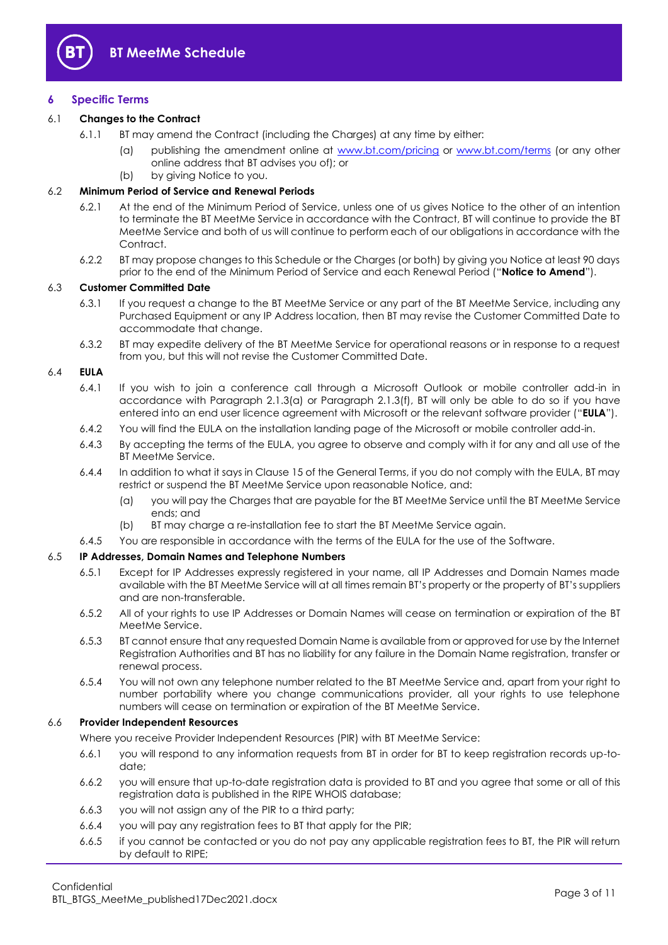

#### <span id="page-2-0"></span>**6 Specific Terms**

#### 6.1 **Changes to the Contract**

- 6.1.1 BT may amend the Contract (including the Charges) at any time by either:
	- (a) publishing the amendment online at [www.bt.com/pricing](http://www.bt.com/pricing) or [www.bt.com/terms](http://www.bt.com/terms) (or any other online address that BT advises you of); or
	- (b) by giving Notice to you.

#### 6.2 **Minimum Period of Service and Renewal Periods**

- 6.2.1 At the end of the Minimum Period of Service, unless one of us gives Notice to the other of an intention to terminate the BT MeetMe Service in accordance with the Contract, BT will continue to provide the BT MeetMe Service and both of us will continue to perform each of our obligations in accordance with the Contract.
- 6.2.2 BT may propose changes to this Schedule or the Charges (or both) by giving you Notice at least 90 days prior to the end of the Minimum Period of Service and each Renewal Period ("**Notice to Amend**").

#### <span id="page-2-2"></span>6.3 **Customer Committed Date**

- 6.3.1 If you request a change to the BT MeetMe Service or any part of the BT MeetMe Service, including any Purchased Equipment or any IP Address location, then BT may revise the Customer Committed Date to accommodate that change.
- 6.3.2 BT may expedite delivery of the BT MeetMe Service for operational reasons or in response to a request from you, but this will not revise the Customer Committed Date.

#### <span id="page-2-1"></span>6.4 **EULA**

- 6.4.1 If you wish to join a conference call through a Microsoft Outlook or mobile controller add-in in accordance with Paragraph [2.1.3\(a\)](#page-1-9) or Paragraph [2.1.3\(f\),](#page-1-10) BT will only be able to do so if you have entered into an end user licence agreement with Microsoft or the relevant software provider ("**EULA**").
- 6.4.2 You will find the EULA on the installation landing page of the Microsoft or mobile controller add-in.
- 6.4.3 By accepting the terms of the EULA, you agree to observe and comply with it for any and all use of the BT MeetMe Service.
- 6.4.4 In addition to what it says in Clause 15 of the General Terms, if you do not comply with the EULA, BT may restrict or suspend the BT MeetMe Service upon reasonable Notice, and:
	- (a) you will pay the Charges that are payable for the BT MeetMe Service until the BT MeetMe Service ends; and
	- (b) BT may charge a re-installation fee to start the BT MeetMe Service again.
- 6.4.5 You are responsible in accordance with the terms of the EULA for the use of the Software.

#### 6.5 **IP Addresses, Domain Names and Telephone Numbers**

- 6.5.1 Except for IP Addresses expressly registered in your name, all IP Addresses and Domain Names made available with the BT MeetMe Service will at all times remain BT's property or the property of BT's suppliers and are non-transferable.
- 6.5.2 All of your rights to use IP Addresses or Domain Names will cease on termination or expiration of the BT MeetMe Service.
- 6.5.3 BT cannot ensure that any requested Domain Name is available from or approved for use by the Internet Registration Authorities and BT has no liability for any failure in the Domain Name registration, transfer or renewal process.
- 6.5.4 You will not own any telephone number related to the BT MeetMe Service and, apart from your right to number portability where you change communications provider, all your rights to use telephone numbers will cease on termination or expiration of the BT MeetMe Service.

#### 6.6 **Provider Independent Resources**

Where you receive Provider Independent Resources (PIR) with BT MeetMe Service:

- 6.6.1 you will respond to any information requests from BT in order for BT to keep registration records up-todate;
- 6.6.2 you will ensure that up-to-date registration data is provided to BT and you agree that some or all of this registration data is published in the RIPE WHOIS database;
- 6.6.3 you will not assign any of the PIR to a third party;
- 6.6.4 you will pay any registration fees to BT that apply for the PIR;
- 6.6.5 if you cannot be contacted or you do not pay any applicable registration fees to BT, the PIR will return by default to RIPE;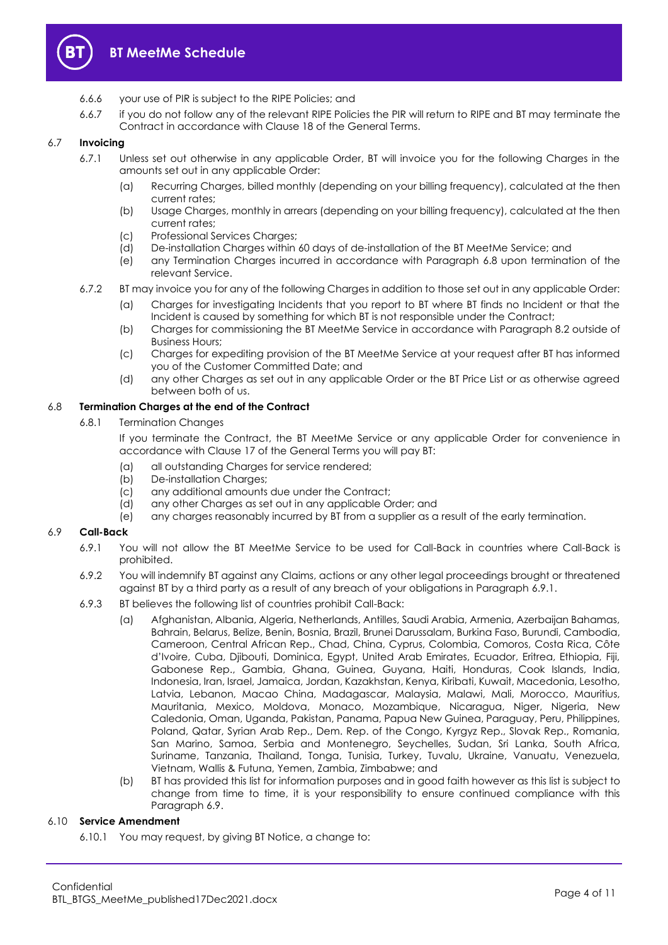

- 6.6.6 your use of PIR is subject to the RIPE Policies; and
- 6.6.7 if you do not follow any of the relevant RIPE Policies the PIR will return to RIPE and BT may terminate the Contract in accordance with Clause 18 of the General Terms.

#### 6.7 **Invoicing**

- 6.7.1 Unless set out otherwise in any applicable Order, BT will invoice you for the following Charges in the amounts set out in any applicable Order:
	- (a) Recurring Charges, billed monthly (depending on your billing frequency), calculated at the then current rates;
	- (b) Usage Charges, monthly in arrears (depending on your billing frequency), calculated at the then current rates;
	- (c) Professional Services Charges;
	- (d) De-installation Charges within 60 days of de-installation of the BT MeetMe Service; and
	- (e) any Termination Charges incurred in accordance with Paragraph [6.8](#page-3-0) upon termination of the relevant Service.
- 6.7.2 BT may invoice you for any of the following Charges in addition to those set out in any applicable Order:
	- (a) Charges for investigating Incidents that you report to BT where BT finds no Incident or that the Incident is caused by something for which BT is not responsible under the Contract;
	- (b) Charges for commissioning the BT MeetMe Service in accordance with Paragraph [8.2](#page-6-1) outside of Business Hours;
	- (c) Charges for expediting provision of the BT MeetMe Service at your request after BT has informed you of the Customer Committed Date; and
	- (d) any other Charges as set out in any applicable Order or the BT Price List or as otherwise agreed between both of us.

#### <span id="page-3-0"></span>6.8 **Termination Charges at the end of the Contract**

6.8.1 Termination Changes

If you terminate the Contract, the BT MeetMe Service or any applicable Order for convenience in accordance with Clause 17 of the General Terms you will pay BT:

- (a) all outstanding Charges for service rendered;
- (b) De-installation Charges;
- (c) any additional amounts due under the Contract;
- (d) any other Charges as set out in any applicable Order; and
- (e) any charges reasonably incurred by BT from a supplier as a result of the early termination.

#### <span id="page-3-2"></span><span id="page-3-1"></span>6.9 **Call-Back**

- 6.9.1 You will not allow the BT MeetMe Service to be used for Call-Back in countries where Call-Back is prohibited.
- 6.9.2 You will indemnify BT against any Claims, actions or any other legal proceedings brought or threatened against BT by a third party as a result of any breach of your obligations in Paragraph [6.9.1.](#page-3-1)
- 6.9.3 BT believes the following list of countries prohibit Call-Back:
	- (a) Afghanistan, Albania, Algeria, Netherlands, Antilles, Saudi Arabia, Armenia, Azerbaijan Bahamas, Bahrain, Belarus, Belize, Benin, Bosnia, Brazil, Brunei Darussalam, Burkina Faso, Burundi, Cambodia, Cameroon, Central African Rep., Chad, China, Cyprus, Colombia, Comoros, Costa Rica, Côte d'Ivoire, Cuba, Djibouti, Dominica, Egypt, United Arab Emirates, Ecuador, Eritrea, Ethiopia, Fiji, Gabonese Rep., Gambia, Ghana, Guinea, Guyana, Haiti, Honduras, Cook Islands, India, Indonesia, Iran, Israel, Jamaica, Jordan, Kazakhstan, Kenya, Kiribati, Kuwait, Macedonia, Lesotho, Latvia, Lebanon, Macao China, Madagascar, Malaysia, Malawi, Mali, Morocco, Mauritius, Mauritania, Mexico, Moldova, Monaco, Mozambique, Nicaragua, Niger, Nigeria, New Caledonia, Oman, Uganda, Pakistan, Panama, Papua New Guinea, Paraguay, Peru, Philippines, Poland, Qatar, Syrian Arab Rep., Dem. Rep. of the Congo, Kyrgyz Rep., Slovak Rep., Romania, San Marino, Samoa, Serbia and Montenegro, Seychelles, Sudan, Sri Lanka, South Africa, Suriname, Tanzania, Thailand, Tonga, Tunisia, Turkey, Tuvalu, Ukraine, Vanuatu, Venezuela, Vietnam, Wallis & Futuna, Yemen, Zambia, Zimbabwe; and
	- (b) BT has provided this list for information purposes and in good faith however as this list is subject to change from time to time, it is your responsibility to ensure continued compliance with this Paragraph [6.9.](#page-3-2)

#### <span id="page-3-3"></span>6.10 **Service Amendment**

6.10.1 You may request, by giving BT Notice, a change to: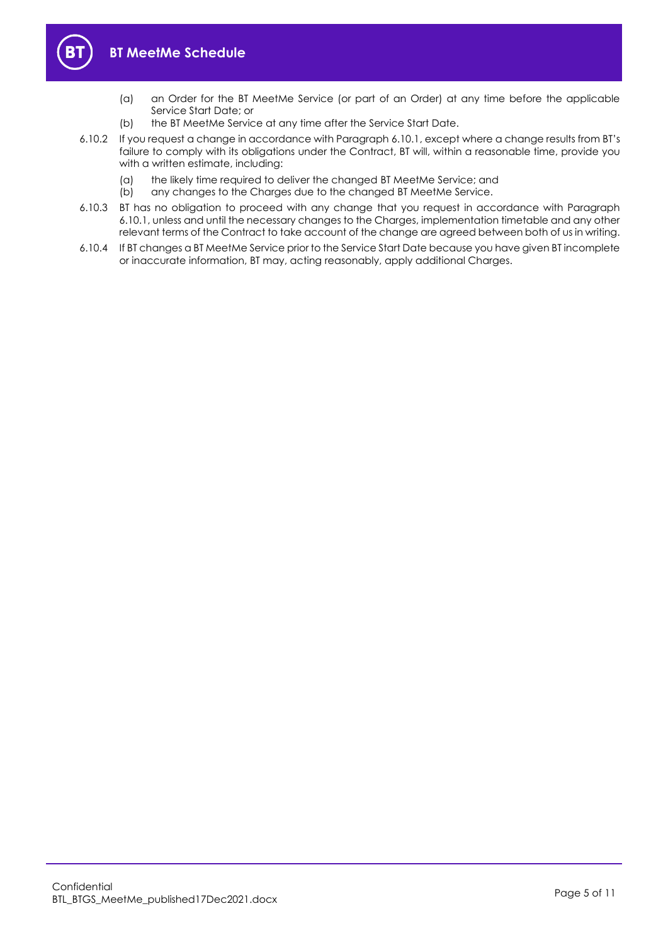

- (a) an Order for the BT MeetMe Service (or part of an Order) at any time before the applicable Service Start Date; or
- (b) the BT MeetMe Service at any time after the Service Start Date.
- 6.10.2 If you request a change in accordance with Paragraph [6.10.1](#page-3-3), except where a change results from BT's failure to comply with its obligations under the Contract, BT will, within a reasonable time, provide you with a written estimate, including:
	- (a) the likely time required to deliver the changed BT MeetMe Service; and
	- (b) any changes to the Charges due to the changed BT MeetMe Service.
- 6.10.3 BT has no obligation to proceed with any change that you request in accordance with Paragraph [6.10.1,](#page-3-3) unless and until the necessary changes to the Charges, implementation timetable and any other relevant terms of the Contract to take account of the change are agreed between both of us in writing.
- 6.10.4 If BT changes a BT MeetMe Service prior to the Service Start Date because you have given BT incomplete or inaccurate information, BT may, acting reasonably, apply additional Charges.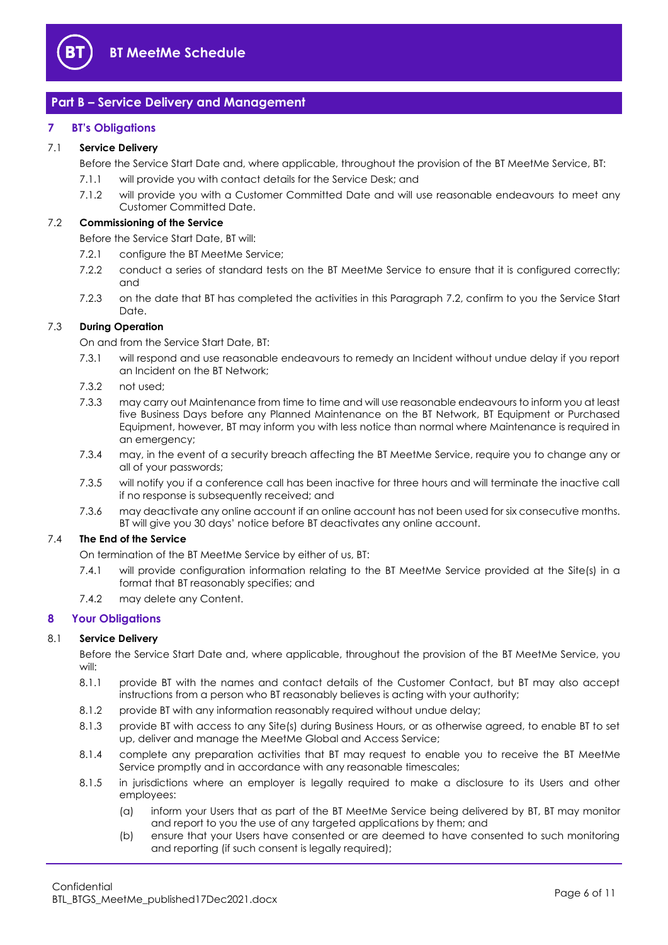

## <span id="page-5-0"></span>**Part B – Service Delivery and Management**

#### <span id="page-5-1"></span>**7 BT's Obligations**

#### 7.1 **Service Delivery**

Before the Service Start Date and, where applicable, throughout the provision of the BT MeetMe Service, BT:

- 7.1.1 will provide you with contact details for the Service Desk; and
- 7.1.2 will provide you with a Customer Committed Date and will use reasonable endeavours to meet any Customer Committed Date.

#### <span id="page-5-3"></span>7.2 **Commissioning of the Service**

Before the Service Start Date, BT will:

- 7.2.1 configure the BT MeetMe Service;
- 7.2.2 conduct a series of standard tests on the BT MeetMe Service to ensure that it is configured correctly; and
- 7.2.3 on the date that BT has completed the activities in this Paragraph [7.2,](#page-5-3) confirm to you the Service Start Date.

#### 7.3 **During Operation**

On and from the Service Start Date, BT:

- 7.3.1 will respond and use reasonable endeavours to remedy an Incident without undue delay if you report an Incident on the BT Network;
- 7.3.2 not used;
- 7.3.3 may carry out Maintenance from time to time and will use reasonable endeavours to inform you at least five Business Days before any Planned Maintenance on the BT Network, BT Equipment or Purchased Equipment, however, BT may inform you with less notice than normal where Maintenance is required in an emergency;
- 7.3.4 may, in the event of a security breach affecting the BT MeetMe Service, require you to change any or all of your passwords;
- 7.3.5 will notify you if a conference call has been inactive for three hours and will terminate the inactive call if no response is subsequently received; and
- 7.3.6 may deactivate any online account if an online account has not been used for six consecutive months. BT will give you 30 days' notice before BT deactivates any online account.

#### 7.4 **The End of the Service**

On termination of the BT MeetMe Service by either of us, BT:

- 7.4.1 will provide configuration information relating to the BT MeetMe Service provided at the Site(s) in a format that BT reasonably specifies; and
- 7.4.2 may delete any Content.

#### <span id="page-5-2"></span>**8 Your Obligations**

#### 8.1 **Service Delivery**

Before the Service Start Date and, where applicable, throughout the provision of the BT MeetMe Service, you will:

- 8.1.1 provide BT with the names and contact details of the Customer Contact, but BT may also accept instructions from a person who BT reasonably believes is acting with your authority;
- 8.1.2 provide BT with any information reasonably required without undue delay;
- 8.1.3 provide BT with access to any Site(s) during Business Hours, or as otherwise agreed, to enable BT to set up, deliver and manage the MeetMe Global and Access Service;
- 8.1.4 complete any preparation activities that BT may request to enable you to receive the BT MeetMe Service promptly and in accordance with any reasonable timescales;
- 8.1.5 in jurisdictions where an employer is legally required to make a disclosure to its Users and other employees:
	- (a) inform your Users that as part of the BT MeetMe Service being delivered by BT, BT may monitor and report to you the use of any targeted applications by them; and
	- (b) ensure that your Users have consented or are deemed to have consented to such monitoring and reporting (if such consent is legally required);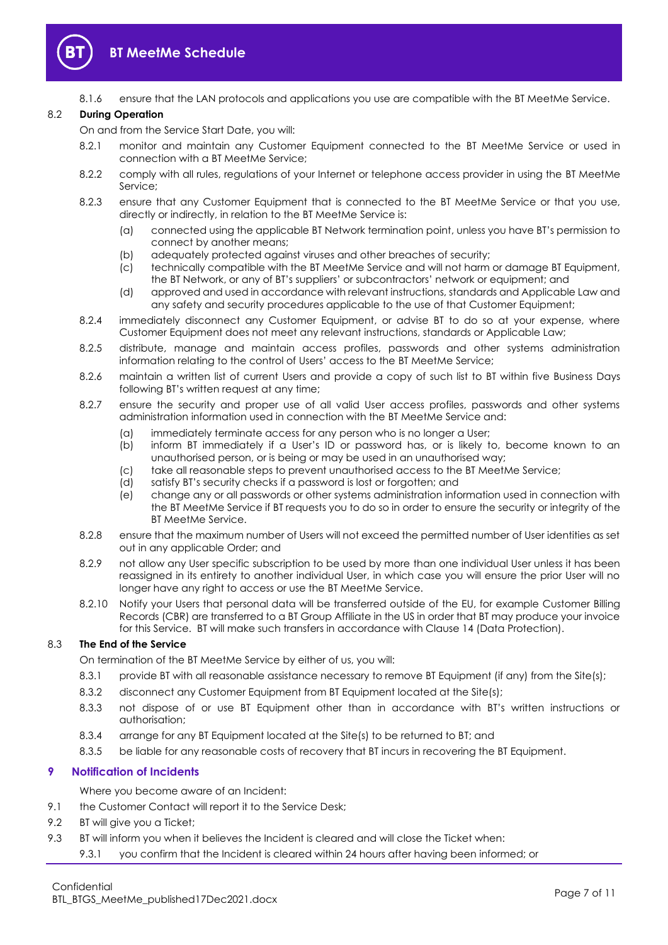

8.1.6 ensure that the LAN protocols and applications you use are compatible with the BT MeetMe Service.

#### <span id="page-6-1"></span>8.2 **During Operation**

On and from the Service Start Date, you will:

- 8.2.1 monitor and maintain any Customer Equipment connected to the BT MeetMe Service or used in connection with a BT MeetMe Service;
- 8.2.2 comply with all rules, regulations of your Internet or telephone access provider in using the BT MeetMe Service;
- 8.2.3 ensure that any Customer Equipment that is connected to the BT MeetMe Service or that you use, directly or indirectly, in relation to the BT MeetMe Service is:
	- (a) connected using the applicable BT Network termination point, unless you have BT's permission to connect by another means;
	- (b) adequately protected against viruses and other breaches of security;
	- (c) technically compatible with the BT MeetMe Service and will not harm or damage BT Equipment, the BT Network, or any of BT's suppliers' or subcontractors' network or equipment; and
	- (d) approved and used in accordance with relevant instructions, standards and Applicable Law and any safety and security procedures applicable to the use of that Customer Equipment;
- 8.2.4 immediately disconnect any Customer Equipment, or advise BT to do so at your expense, where Customer Equipment does not meet any relevant instructions, standards or Applicable Law;
- 8.2.5 distribute, manage and maintain access profiles, passwords and other systems administration information relating to the control of Users' access to the BT MeetMe Service;
- 8.2.6 maintain a written list of current Users and provide a copy of such list to BT within five Business Days following BT's written request at any time;
- 8.2.7 ensure the security and proper use of all valid User access profiles, passwords and other systems administration information used in connection with the BT MeetMe Service and:
	- (a) immediately terminate access for any person who is no longer a User;
	- (b) inform BT immediately if a User's ID or password has, or is likely to, become known to an unauthorised person, or is being or may be used in an unauthorised way;
	- (c) take all reasonable steps to prevent unauthorised access to the BT MeetMe Service;
	- (d) satisfy BT's security checks if a password is lost or forgotten; and
	- (e) change any or all passwords or other systems administration information used in connection with the BT MeetMe Service if BT requests you to do so in order to ensure the security or integrity of the BT MeetMe Service.
- 8.2.8 ensure that the maximum number of Users will not exceed the permitted number of User identities as set out in any applicable Order; and
- 8.2.9 not allow any User specific subscription to be used by more than one individual User unless it has been reassigned in its entirety to another individual User, in which case you will ensure the prior User will no longer have any right to access or use the BT MeetMe Service.
- 8.2.10 Notify your Users that personal data will be transferred outside of the EU, for example Customer Billing Records (CBR) are transferred to a BT Group Affiliate in the US in order that BT may produce your invoice for this Service. BT will make such transfers in accordance with Clause 14 (Data Protection).

#### 8.3 **The End of the Service**

On termination of the BT MeetMe Service by either of us, you will:

- 8.3.1 provide BT with all reasonable assistance necessary to remove BT Equipment (if any) from the Site(s);
- 8.3.2 disconnect any Customer Equipment from BT Equipment located at the Site(s);
- 8.3.3 not dispose of or use BT Equipment other than in accordance with BT's written instructions or authorisation;
- 8.3.4 arrange for any BT Equipment located at the Site(s) to be returned to BT; and
- 8.3.5 be liable for any reasonable costs of recovery that BT incurs in recovering the BT Equipment.

#### <span id="page-6-0"></span>**9 Notification of Incidents**

Where you become aware of an Incident:

- 9.1 the Customer Contact will report it to the Service Desk:
- 9.2 BT will give you a Ticket;
- 9.3 BT will inform you when it believes the Incident is cleared and will close the Ticket when:
	- 9.3.1 you confirm that the Incident is cleared within 24 hours after having been informed; or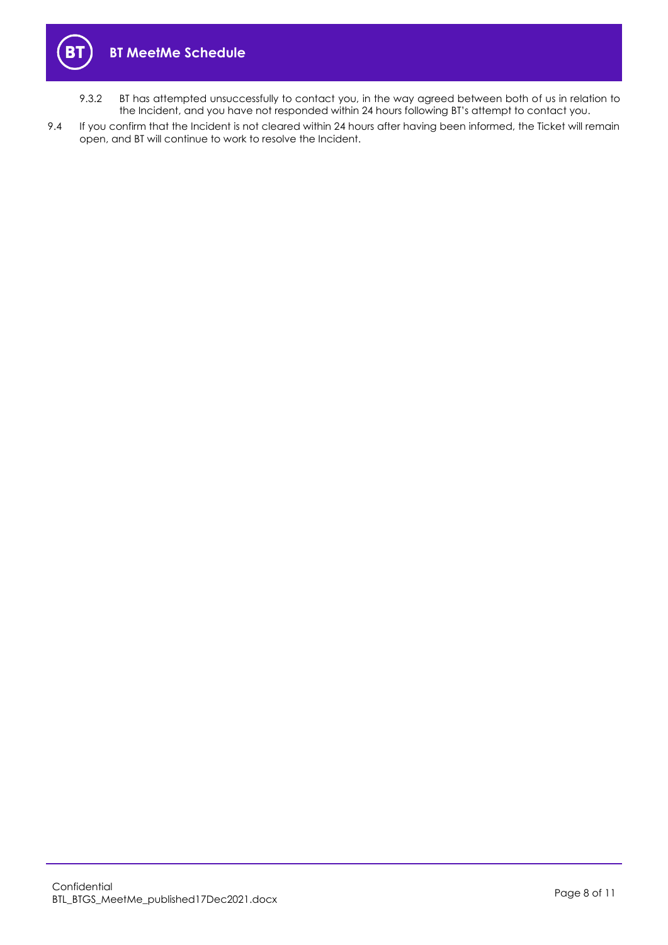

- 9.3.2 BT has attempted unsuccessfully to contact you, in the way agreed between both of us in relation to the Incident, and you have not responded within 24 hours following BT's attempt to contact you.
- 9.4 If you confirm that the Incident is not cleared within 24 hours after having been informed, the Ticket will remain open, and BT will continue to work to resolve the Incident.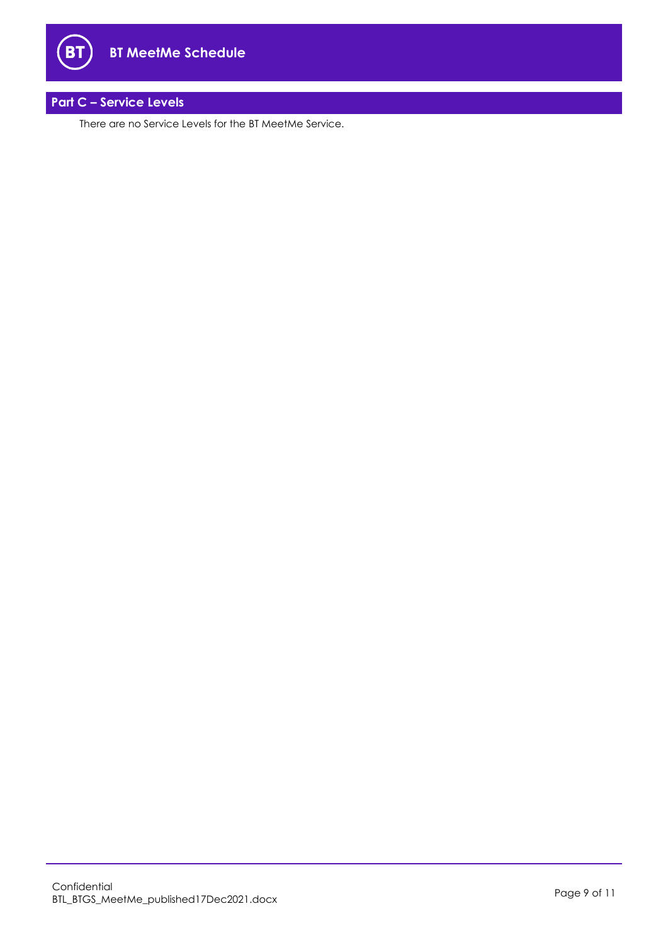

## <span id="page-8-0"></span>**Part C – Service Levels**

**B1** 

There are no Service Levels for the BT MeetMe Service.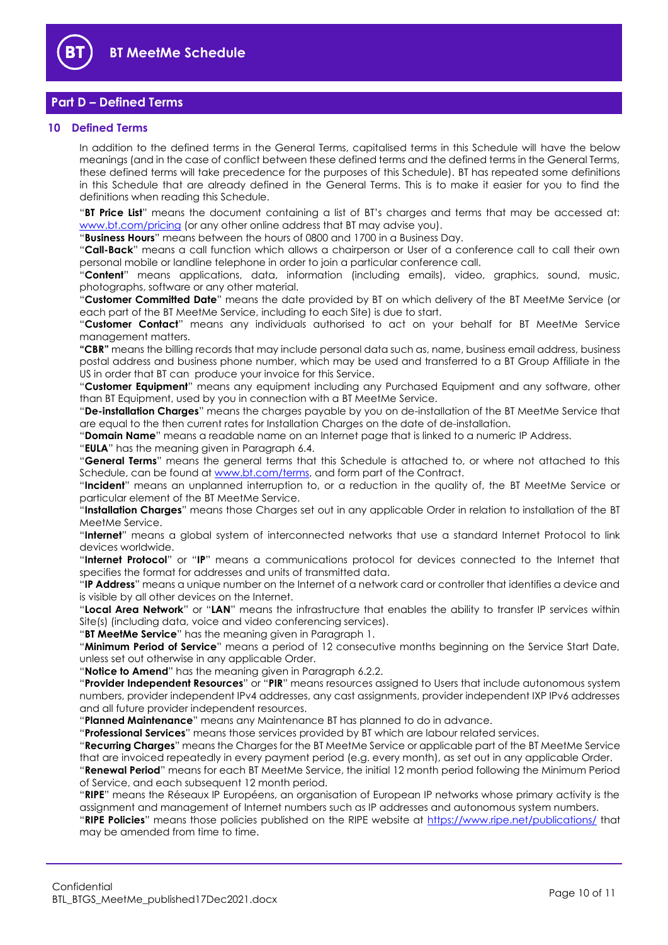

### <span id="page-9-0"></span>**Part D – Defined Terms**

#### <span id="page-9-1"></span>**10 Defined Terms**

In addition to the defined terms in the General Terms, capitalised terms in this Schedule will have the below meanings (and in the case of conflict between these defined terms and the defined terms in the General Terms, these defined terms will take precedence for the purposes of this Schedule). BT has repeated some definitions in this Schedule that are already defined in the General Terms. This is to make it easier for you to find the definitions when reading this Schedule.

"**BT Price List**" means the document containing a list of BT's charges and terms that may be accessed at: [www.bt.com/pricing](http://www.bt.com/pricing) (or any other online address that BT may advise you).

"**Business Hours**" means between the hours of 0800 and 1700 in a Business Day.

"**Call-Back**" means a call function which allows a chairperson or User of a conference call to call their own personal mobile or landline telephone in order to join a particular conference call.

"**Content**" means applications, data, information (including emails), video, graphics, sound, music, photographs, software or any other material.

"**Customer Committed Date**" means the date provided by BT on which delivery of the BT MeetMe Service (or each part of the BT MeetMe Service, including to each Site) is due to start.

"**Customer Contact**" means any individuals authorised to act on your behalf for BT MeetMe Service management matters.

**"CBR"** means the billing records that may include personal data such as, name, business email address, business postal address and business phone number, which may be used and transferred to a BT Group Affiliate in the US in order that BT can produce your invoice for this Service.

"**Customer Equipment**" means any equipment including any Purchased Equipment and any software, other than BT Equipment, used by you in connection with a BT MeetMe Service.

"**De-installation Charges**" means the charges payable by you on de-installation of the BT MeetMe Service that are equal to the then current rates for Installation Charges on the date of de-installation.

"**Domain Name**" means a readable name on an Internet page that is linked to a numeric IP Address.

"**EULA**" has the meaning given in Paragraph [6.4.](#page-2-1)

"**General Terms**" means the general terms that this Schedule is attached to, or where not attached to this Schedule, can be found at [www.bt.com/terms,](http://www.bt.com/terms) and form part of the Contract.

"**Incident**" means an unplanned interruption to, or a reduction in the quality of, the BT MeetMe Service or particular element of the BT MeetMe Service.

"**Installation Charges**" means those Charges set out in any applicable Order in relation to installation of the BT MeetMe Service.

"**Internet**" means a global system of interconnected networks that use a standard Internet Protocol to link devices worldwide.

"**Internet Protocol**" or "**IP**" means a communications protocol for devices connected to the Internet that specifies the format for addresses and units of transmitted data.

"**IP Address**" means a unique number on the Internet of a network card or controller that identifies a device and is visible by all other devices on the Internet.

"**Local Area Network**" or "**LAN**" means the infrastructure that enables the ability to transfer IP services within Site(s) (including data, voice and video conferencing services).

"**BT MeetMe Service**" has the meaning given in Paragrap[h 1.](#page-1-3)

"**Minimum Period of Service**" means a period of 12 consecutive months beginning on the Service Start Date, unless set out otherwise in any applicable Order.

"**Notice to Amend**" has the meaning given in Paragraph [6.2.2.](#page-2-2)

"**Provider Independent Resources**" or "**PIR**" means resources assigned to Users that include autonomous system numbers, provider independent IPv4 addresses, any cast assignments, provider independent IXP IPv6 addresses and all future provider independent resources.

"**Planned Maintenance**" means any Maintenance BT has planned to do in advance.

"**Professional Services**" means those services provided by BT which are labour related services.

"**Recurring Charges**" means the Charges for the BT MeetMe Service or applicable part of the BT MeetMe Service that are invoiced repeatedly in every payment period (e.g. every month), as set out in any applicable Order.

"**Renewal Period**" means for each BT MeetMe Service, the initial 12 month period following the Minimum Period of Service, and each subsequent 12 month period.

"**RIPE**" means the Réseaux IP Européens, an organisation of European IP networks whose primary activity is the assignment and management of Internet numbers such as IP addresses and autonomous system numbers.

"**RIPE Policies**" means those policies published on the RIPE website at<https://www.ripe.net/publications/> that may be amended from time to time.